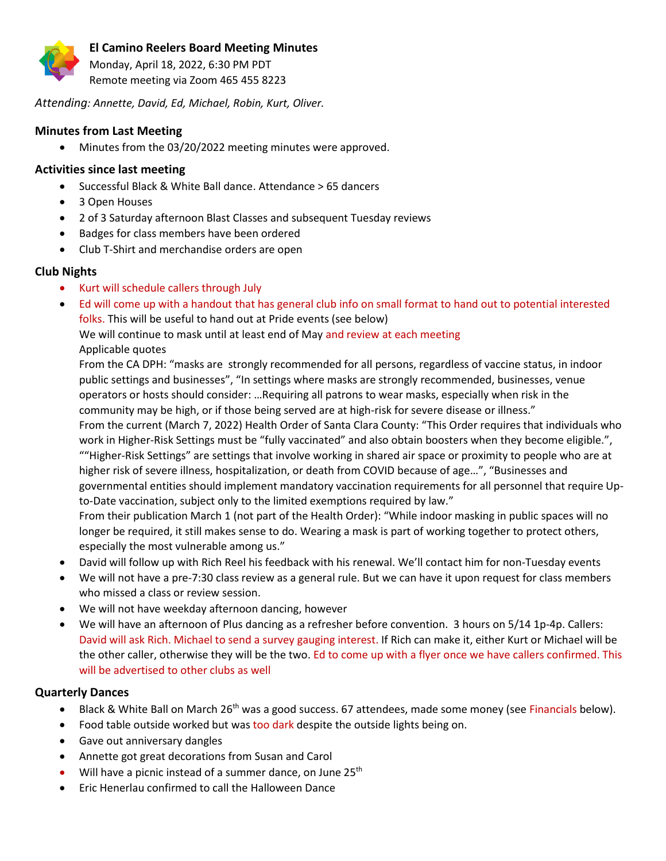

Monday, April 18, 2022, 6:30 PM PDT Remote meeting via Zoom 465 455 8223

*Attending: Annette, David, Ed, Michael, Robin, Kurt, Oliver.*

## **Minutes from Last Meeting**

• Minutes from the 03/20/2022 meeting minutes were approved.

# **Activities since last meeting**

- Successful Black & White Ball dance. Attendance > 65 dancers
- 3 Open Houses
- 2 of 3 Saturday afternoon Blast Classes and subsequent Tuesday reviews
- Badges for class members have been ordered
- Club T-Shirt and merchandise orders are open

# **Club Nights**

- Kurt will schedule callers through July
- Ed will come up with a handout that has general club info on small format to hand out to potential interested folks. This will be useful to hand out at Pride events (see below)

We will continue to mask until at least end of May and review at each meeting Applicable quotes

From the CA DPH: "masks are strongly recommended for all persons, regardless of vaccine status, in indoor public settings and businesses", "In settings where masks are strongly recommended, businesses, venue operators or hosts should consider: …Requiring all patrons to wear masks, especially when risk in the community may be high, or if those being served are at high-risk for severe disease or illness." From the current (March 7, 2022) Health Order of Santa Clara County: "This Order requires that individuals who work in Higher-Risk Settings must be "fully vaccinated" and also obtain boosters when they become eligible.", ""Higher-Risk Settings" are settings that involve working in shared air space or proximity to people who are at higher risk of severe illness, hospitalization, or death from COVID because of age…", "Businesses and governmental entities should implement mandatory vaccination requirements for all personnel that require Upto-Date vaccination, subject only to the limited exemptions required by law." From their publication March 1 (not part of the Health Order): "While indoor masking in public spaces will no

longer be required, it still makes sense to do. Wearing a mask is part of working together to protect others, especially the most vulnerable among us."

- David will follow up with Rich Reel his feedback with his renewal. We'll contact him for non-Tuesday events
- We will not have a pre-7:30 class review as a general rule. But we can have it upon request for class members who missed a class or review session.
- We will not have weekday afternoon dancing, however
- We will have an afternoon of Plus dancing as a refresher before convention. 3 hours on 5/14 1p-4p. Callers: David will ask Rich. Michael to send a survey gauging interest. If Rich can make it, either Kurt or Michael will be the other caller, otherwise they will be the two. Ed to come up with a flyer once we have callers confirmed. This will be advertised to other clubs as well

# **Quarterly Dances**

- Black & White Ball on March 26<sup>th</sup> was a good success. 67 attendees, made some money (see Financials below).
- Food table outside worked but was too dark despite the outside lights being on.
- Gave out anniversary dangles
- Annette got great decorations from Susan and Carol
- Will have a picnic instead of a summer dance, on June 25<sup>th</sup>
- Eric Henerlau confirmed to call the Halloween Dance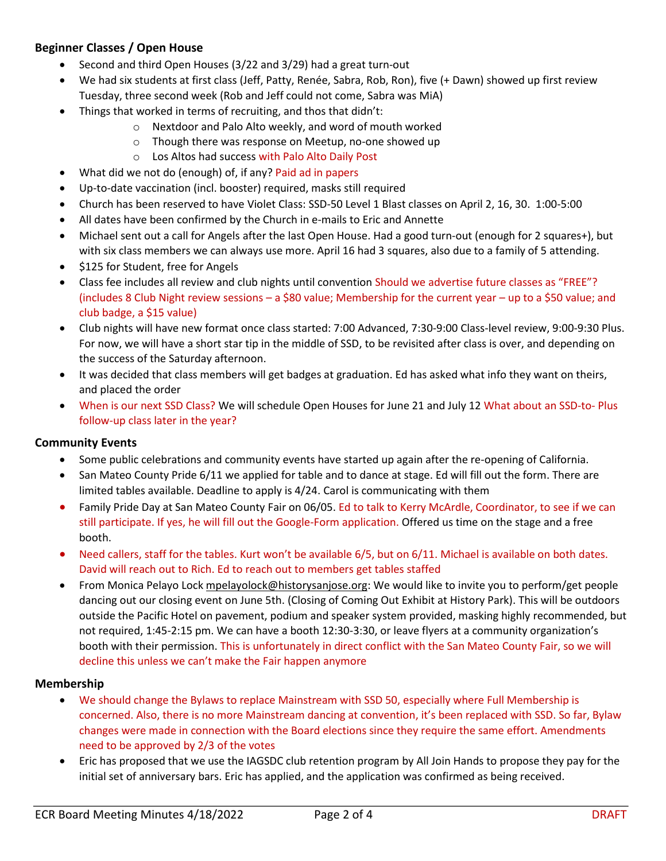# **Beginner Classes / Open House**

- Second and third Open Houses (3/22 and 3/29) had a great turn-out
- We had six students at first class (Jeff, Patty, Renée, Sabra, Rob, Ron), five (+ Dawn) showed up first review Tuesday, three second week (Rob and Jeff could not come, Sabra was MiA)
- Things that worked in terms of recruiting, and thos that didn't:
	- o Nextdoor and Palo Alto weekly, and word of mouth worked
	- o Though there was response on Meetup, no-one showed up
	- o Los Altos had success with Palo Alto Daily Post
- What did we not do (enough) of, if any? Paid ad in papers
- Up-to-date vaccination (incl. booster) required, masks still required
- Church has been reserved to have Violet Class: SSD-50 Level 1 Blast classes on April 2, 16, 30. 1:00-5:00
- All dates have been confirmed by the Church in e-mails to Eric and Annette
- Michael sent out a call for Angels after the last Open House. Had a good turn-out (enough for 2 squares+), but with six class members we can always use more. April 16 had 3 squares, also due to a family of 5 attending.
- \$125 for Student, free for Angels
- Class fee includes all review and club nights until convention Should we advertise future classes as "FREE"? (includes 8 Club Night review sessions – a \$80 value; Membership for the current year – up to a \$50 value; and club badge, a \$15 value)
- Club nights will have new format once class started: 7:00 Advanced, 7:30-9:00 Class-level review, 9:00-9:30 Plus. For now, we will have a short star tip in the middle of SSD, to be revisited after class is over, and depending on the success of the Saturday afternoon.
- It was decided that class members will get badges at graduation. Ed has asked what info they want on theirs, and placed the order
- When is our next SSD Class? We will schedule Open Houses for June 21 and July 12 What about an SSD-to- Plus follow-up class later in the year?

### **Community Events**

- Some public celebrations and community events have started up again after the re-opening of California.
- San Mateo County Pride 6/11 we applied for table and to dance at stage. Ed will fill out the form. There are limited tables available. Deadline to apply is 4/24. Carol is communicating with them
- Family Pride Day at San Mateo County Fair on 06/05. Ed to talk to Kerry McArdle, Coordinator, to see if we can still participate. If yes, he will fill out the Google-Form application. Offered us time on the stage and a free booth.
- Need callers, staff for the tables. Kurt won't be available 6/5, but on 6/11. Michael is available on both dates. David will reach out to Rich. Ed to reach out to members get tables staffed
- From Monica Pelayo Loc[k mpelayolock@historysanjose.org:](mailto:mpelayolock@historysanjose.org) We would like to invite you to perform/get people dancing out our closing event on June 5th. (Closing of Coming Out Exhibit at History Park). This will be outdoors outside the Pacific Hotel on pavement, podium and speaker system provided, masking highly recommended, but not required, 1:45-2:15 pm. We can have a booth 12:30-3:30, or leave flyers at a community organization's booth with their permission. This is unfortunately in direct conflict with the San Mateo County Fair, so we will decline this unless we can't make the Fair happen anymore

### **Membership**

- We should change the Bylaws to replace Mainstream with SSD 50, especially where Full Membership is concerned. Also, there is no more Mainstream dancing at convention, it's been replaced with SSD. So far, Bylaw changes were made in connection with the Board elections since they require the same effort. Amendments need to be approved by 2/3 of the votes
- Eric has proposed that we use the IAGSDC club retention program by All Join Hands to propose they pay for the initial set of anniversary bars. Eric has applied, and the application was confirmed as being received.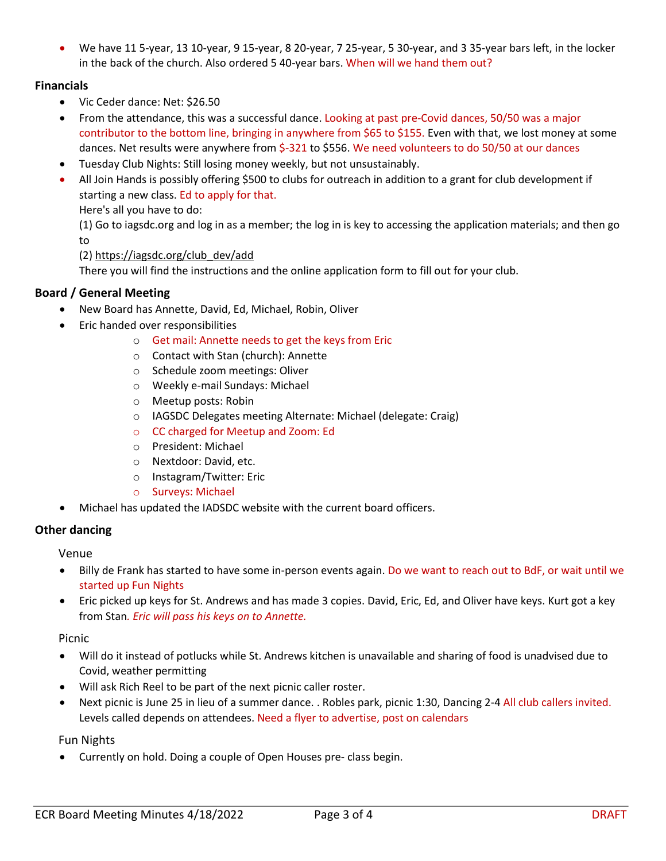• We have 11 5-year, 13 10-year, 9 15-year, 8 20-year, 7 25-year, 5 30-year, and 3 35-year bars left, in the locker in the back of the church. Also ordered 5 40-year bars. When will we hand them out?

## **Financials**

- Vic Ceder dance: Net: \$26.50
- From the attendance, this was a successful dance. Looking at past pre-Covid dances, 50/50 was a major contributor to the bottom line, bringing in anywhere from \$65 to \$155. Even with that, we lost money at some dances. Net results were anywhere from \$-321 to \$556. We need volunteers to do 50/50 at our dances
- Tuesday Club Nights: Still losing money weekly, but not unsustainably.
- All Join Hands is possibly offering \$500 to clubs for outreach in addition to a grant for club development if starting a new class. Ed to apply for that.

Here's all you have to do:

(1) Go to iagsdc.org and log in as a member; the log in is key to accessing the application materials; and then go to

### (2[\) https://iagsdc.org/club\\_dev/add](https://iagsdc.org/club_dev/add)

There you will find the instructions and the online application form to fill out for your club.

### **Board / General Meeting**

- New Board has Annette, David, Ed, Michael, Robin, Oliver
- Eric handed over responsibilities
	- o Get mail: Annette needs to get the keys from Eric
	- o Contact with Stan (church): Annette
	- o Schedule zoom meetings: Oliver
	- o Weekly e-mail Sundays: Michael
	- o Meetup posts: Robin
	- o IAGSDC Delegates meeting Alternate: Michael (delegate: Craig)
	- o CC charged for Meetup and Zoom: Ed
	- o President: Michael
	- o Nextdoor: David, etc.
	- o Instagram/Twitter: Eric
	- o Surveys: Michael
- Michael has updated the IADSDC website with the current board officers.

### **Other dancing**

Venue

- Billy de Frank has started to have some in-person events again. Do we want to reach out to BdF, or wait until we started up Fun Nights
- Eric picked up keys for St. Andrews and has made 3 copies. David, Eric, Ed, and Oliver have keys. Kurt got a key from Stan*. Eric will pass his keys on to Annette.*

### Picnic

- Will do it instead of potlucks while St. Andrews kitchen is unavailable and sharing of food is unadvised due to Covid, weather permitting
- Will ask Rich Reel to be part of the next picnic caller roster.
- Next picnic is June 25 in lieu of a summer dance. . Robles park, picnic 1:30, Dancing 2-4 All club callers invited. Levels called depends on attendees. Need a flyer to advertise, post on calendars

### Fun Nights

• Currently on hold. Doing a couple of Open Houses pre- class begin.